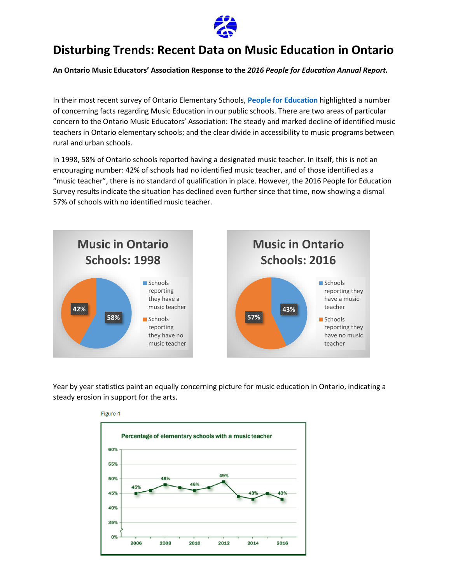

## **Disturbing Trends: Recent Data on Music Education in Ontario**

**An Ontario Music Educators' Association Response to the** *2016 People for Education Annual Report.*

In their most recent survey of Ontario Elementary Schools, **[People for Education](http://www.peopleforeducation.ca/)** highlighted a number of concerning facts regarding Music Education in our public schools. There are two areas of particular concern to the Ontario Music Educators' Association: The steady and marked decline of identified music teachers in Ontario elementary schools; and the clear divide in accessibility to music programs between rural and urban schools.

In 1998, 58% of Ontario schools reported having a designated music teacher. In itself, this is not an encouraging number: 42% of schools had no identified music teacher, and of those identified as a "music teacher", there is no standard of qualification in place. However, the 2016 People for Education Survey results indicate the situation has declined even further since that time, now showing a dismal 57% of schools with no identified music teacher.



Year by year statistics paint an equally concerning picture for music education in Ontario, indicating a steady erosion in support for the arts.